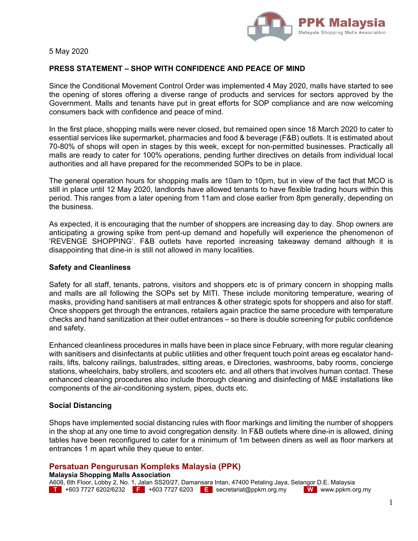

5 May 2020

# **PRESS STATEMENT – SHOP WITH CONFIDENCE AND PEACE OF MIND**

Since the Conditional Movement Control Order was implemented 4 May 2020, malls have started to see the opening of stores offering a diverse range of products and services for sectors approved by the Government. Malls and tenants have put in great efforts for SOP compliance and are now welcoming consumers back with confidence and peace of mind.

In the first place, shopping malls were never closed, but remained open since 18 March 2020 to cater to essential services like supermarket, pharmacies and food & beverage (F&B) outlets. It is estimated about 70-80% of shops will open in stages by this week, except for non-permitted businesses. Practically all malls are ready to cater for 100% operations, pending further directives on details from individual local authorities and all have prepared for the recommended SOPs to be in place.

The general operation hours for shopping malls are 10am to 10pm, but in view of the fact that MCO is still in place until 12 May 2020, landlords have allowed tenants to have flexible trading hours within this period. This ranges from a later opening from 11am and close earlier from 8pm generally, depending on the business.

As expected, it is encouraging that the number of shoppers are increasing day to day. Shop owners are anticipating a growing spike from pent-up demand and hopefully will experience the phenomenon of 'REVENGE SHOPPING'. F&B outlets have reported increasing takeaway demand although it is disappointing that dine-in is still not allowed in many localities.

## **Safety and Cleanliness**

Safety for all staff, tenants, patrons, visitors and shoppers etc is of primary concern in shopping malls and malls are all following the SOPs set by MITI. These include monitoring temperature, wearing of masks, providing hand sanitisers at mall entrances & other strategic spots for shoppers and also for staff. Once shoppers get through the entrances, retailers again practice the same procedure with temperature checks and hand sanitization at their outlet entrances – so there is double screening for public confidence and safety.

Enhanced cleanliness procedures in malls have been in place since February, with more regular cleaning with sanitisers and disinfectants at public utilities and other frequent touch point areas eg escalator handrails, lifts, balcony railings, balustrades, sitting areas, e Directories, washrooms, baby rooms, concierge stations, wheelchairs, baby strollers, and scooters etc. and all others that involves human contact. These enhanced cleaning procedures also include thorough cleaning and disinfecting of M&E installations like components of the air-conditioning system, pipes, ducts etc.

### **Social Distancing**

Shops have implemented social distancing rules with floor markings and limiting the number of shoppers in the shop at any one time to avoid congregation density. In F&B outlets where dine-in is allowed, dining tables have been reconfigured to cater for a minimum of 1m between diners as well as floor markers at entrances 1 m apart while they queue to enter.

# **Persatuan Pengurusan Kompleks Malaysia (PPK)**

**Malaysia Shopping Malls Association** 

A608, 6th Floor, Lobby 2, No. 1, Jalan SS20/27, Damansara Intan, 47400 Petaling Jaya, Selangor D.E. Malaysia **T** +603 7727 6202/6232 **F** +603 7727 6203 **E** secretariat@ppkm.org.my **W** www.ppkm.org.my